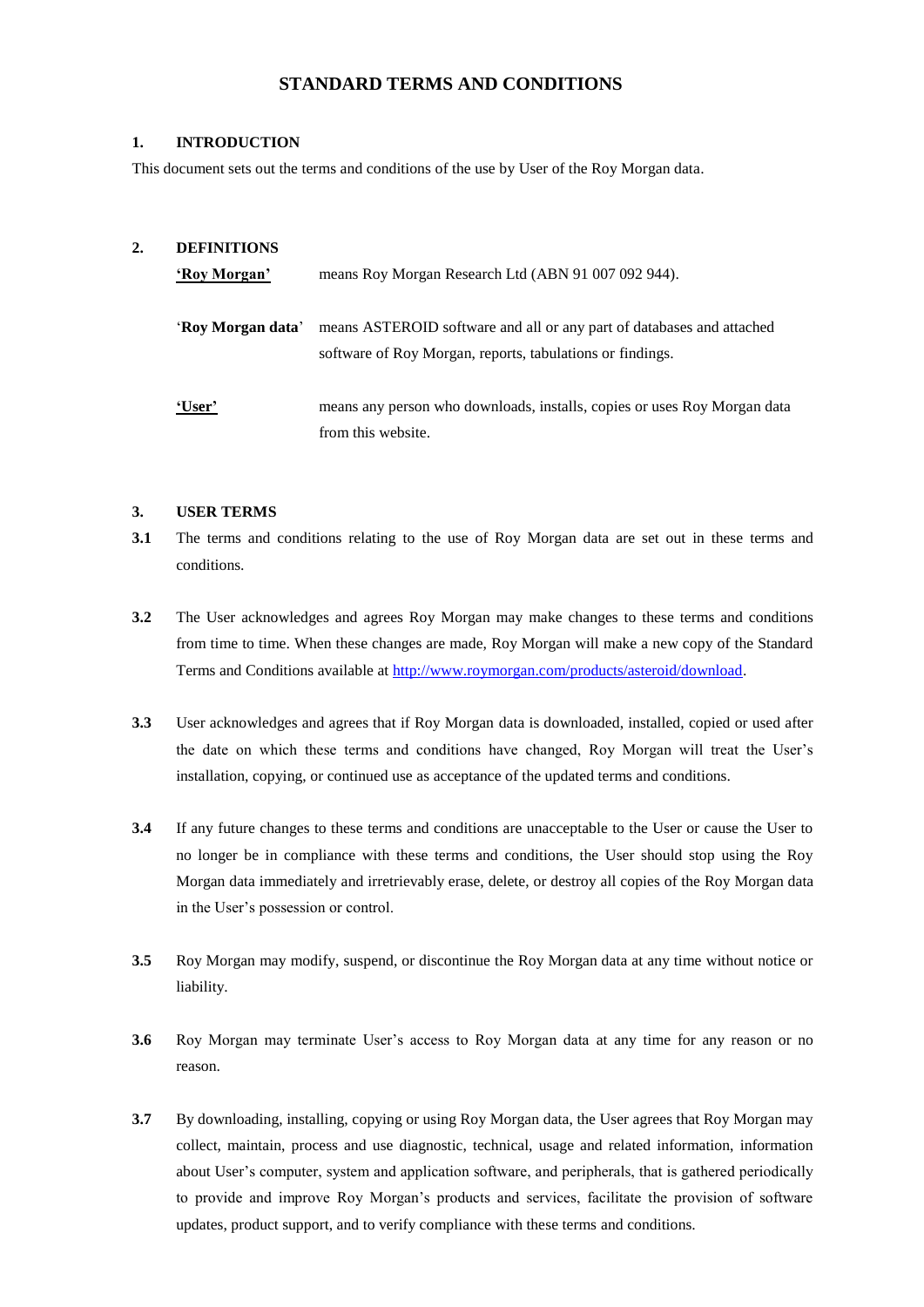# **STANDARD TERMS AND CONDITIONS**

#### **1. INTRODUCTION**

This document sets out the terms and conditions of the use by User of the Roy Morgan data.

#### **2. DEFINITIONS**

| 'Roy Morgan'      | means Roy Morgan Research Ltd (ABN 91 007 092 944).                                                                                |
|-------------------|------------------------------------------------------------------------------------------------------------------------------------|
| 'Roy Morgan data' | means ASTEROID software and all or any part of databases and attached<br>software of Roy Morgan, reports, tabulations or findings. |
| 'User'            | means any person who downloads, installs, copies or uses Roy Morgan data<br>from this website.                                     |

#### **3. USER TERMS**

- **3.1** The terms and conditions relating to the use of Roy Morgan data are set out in these terms and conditions.
- **3.2** The User acknowledges and agrees Roy Morgan may make changes to these terms and conditions from time to time. When these changes are made, Roy Morgan will make a new copy of the Standard Terms and Conditions available at [http://www.roymorgan.com/products/asteroid/download.](http://www.roymorgan.com/products/asteroid/download)
- **3.3** User acknowledges and agrees that if Roy Morgan data is downloaded, installed, copied or used after the date on which these terms and conditions have changed, Roy Morgan will treat the User's installation, copying, or continued use as acceptance of the updated terms and conditions.
- **3.4** If any future changes to these terms and conditions are unacceptable to the User or cause the User to no longer be in compliance with these terms and conditions, the User should stop using the Roy Morgan data immediately and irretrievably erase, delete, or destroy all copies of the Roy Morgan data in the User's possession or control.
- **3.5** Roy Morgan may modify, suspend, or discontinue the Roy Morgan data at any time without notice or liability.
- **3.6** Roy Morgan may terminate User's access to Roy Morgan data at any time for any reason or no reason.
- **3.7** By downloading, installing, copying or using Roy Morgan data, the User agrees that Roy Morgan may collect, maintain, process and use diagnostic, technical, usage and related information, information about User's computer, system and application software, and peripherals, that is gathered periodically to provide and improve Roy Morgan's products and services, facilitate the provision of software updates, product support, and to verify compliance with these terms and conditions.